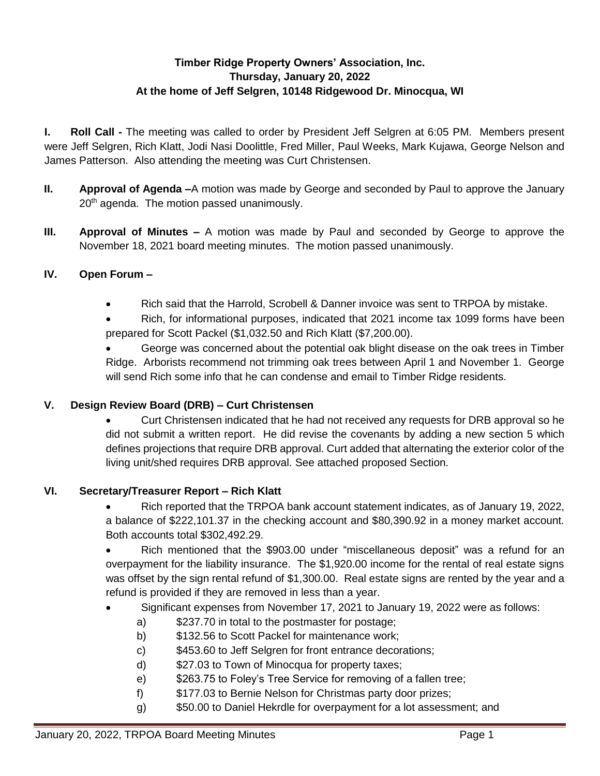# **Timber Ridge Property Owners' Association, Inc. Thursday, January 20, 2022 At the home of Jeff Selgren, 10148 Ridgewood Dr. Minocqua, WI**

**I. Roll Call -** The meeting was called to order by President Jeff Selgren at 6:05 PM. Members present were Jeff Selgren, Rich Klatt, Jodi Nasi Doolittle, Fred Miller, Paul Weeks, Mark Kujawa, George Nelson and James Patterson. Also attending the meeting was Curt Christensen.

- **II. Approval of Agenda –**A motion was made by George and seconded by Paul to approve the January 20<sup>th</sup> agenda. The motion passed unanimously.
- **III. Approval of Minutes –** A motion was made by Paul and seconded by George to approve the November 18, 2021 board meeting minutes. The motion passed unanimously.

# **IV. Open Forum –**

- Rich said that the Harrold, Scrobell & Danner invoice was sent to TRPOA by mistake.
- Rich, for informational purposes, indicated that 2021 income tax 1099 forms have been prepared for Scott Packel (\$1,032.50 and Rich Klatt (\$7,200.00).

 George was concerned about the potential oak blight disease on the oak trees in Timber Ridge. Arborists recommend not trimming oak trees between April 1 and November 1. George will send Rich some info that he can condense and email to Timber Ridge residents.

#### **V. Design Review Board (DRB) – Curt Christensen**

 Curt Christensen indicated that he had not received any requests for DRB approval so he did not submit a written report. He did revise the covenants by adding a new section 5 which defines projections that require DRB approval. Curt added that alternating the exterior color of the living unit/shed requires DRB approval. See attached proposed Section.

#### **VI. Secretary/Treasurer Report – Rich Klatt**

 Rich reported that the TRPOA bank account statement indicates, as of January 19, 2022, a balance of \$222,101.37 in the checking account and \$80,390.92 in a money market account. Both accounts total \$302,492.29.

• Rich mentioned that the \$903.00 under "miscellaneous deposit" was a refund for an overpayment for the liability insurance. The \$1,920.00 income for the rental of real estate signs was offset by the sign rental refund of \$1,300.00. Real estate signs are rented by the year and a refund is provided if they are removed in less than a year.

- Significant expenses from November 17, 2021 to January 19, 2022 were as follows:
	- a) \$237.70 in total to the postmaster for postage;
	- b) \$132.56 to Scott Packel for maintenance work;
	- c) \$453.60 to Jeff Selgren for front entrance decorations;
	- d) \$27.03 to Town of Minocqua for property taxes;
	- e) \$263.75 to Foley's Tree Service for removing of a fallen tree;
	- f) \$177.03 to Bernie Nelson for Christmas party door prizes;
	- g) \$50.00 to Daniel Hekrdle for overpayment for a lot assessment; and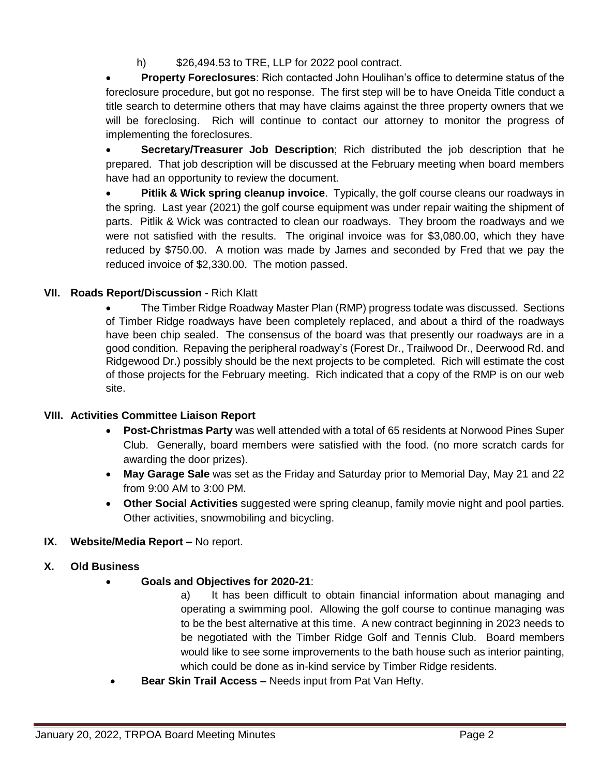h) \$26,494.53 to TRE, LLP for 2022 pool contract.

 **Property Foreclosures**: Rich contacted John Houlihan's office to determine status of the foreclosure procedure, but got no response. The first step will be to have Oneida Title conduct a title search to determine others that may have claims against the three property owners that we will be foreclosing. Rich will continue to contact our attorney to monitor the progress of implementing the foreclosures.

 **Secretary/Treasurer Job Description**; Rich distributed the job description that he prepared. That job description will be discussed at the February meeting when board members have had an opportunity to review the document.

 **Pitlik & Wick spring cleanup invoice**. Typically, the golf course cleans our roadways in the spring. Last year (2021) the golf course equipment was under repair waiting the shipment of parts. Pitlik & Wick was contracted to clean our roadways. They broom the roadways and we were not satisfied with the results. The original invoice was for \$3,080.00, which they have reduced by \$750.00. A motion was made by James and seconded by Fred that we pay the reduced invoice of \$2,330.00. The motion passed.

### **VII. Roads Report/Discussion** - Rich Klatt

 The Timber Ridge Roadway Master Plan (RMP) progress todate was discussed. Sections of Timber Ridge roadways have been completely replaced, and about a third of the roadways have been chip sealed. The consensus of the board was that presently our roadways are in a good condition. Repaving the peripheral roadway's (Forest Dr., Trailwood Dr., Deerwood Rd. and Ridgewood Dr.) possibly should be the next projects to be completed. Rich will estimate the cost of those projects for the February meeting. Rich indicated that a copy of the RMP is on our web site.

#### **VIII. Activities Committee Liaison Report**

- **Post-Christmas Party** was well attended with a total of 65 residents at Norwood Pines Super Club. Generally, board members were satisfied with the food. (no more scratch cards for awarding the door prizes).
- **May Garage Sale** was set as the Friday and Saturday prior to Memorial Day, May 21 and 22 from 9:00 AM to 3:00 PM.
- **Other Social Activities** suggested were spring cleanup, family movie night and pool parties. Other activities, snowmobiling and bicycling.

# **IX. Website/Media Report –** No report.

#### **X. Old Business**

- **Goals and Objectives for 2020-21**:
	- a) It has been difficult to obtain financial information about managing and operating a swimming pool. Allowing the golf course to continue managing was to be the best alternative at this time. A new contract beginning in 2023 needs to be negotiated with the Timber Ridge Golf and Tennis Club. Board members would like to see some improvements to the bath house such as interior painting, which could be done as in-kind service by Timber Ridge residents.
- **Bear Skin Trail Access –** Needs input from Pat Van Hefty.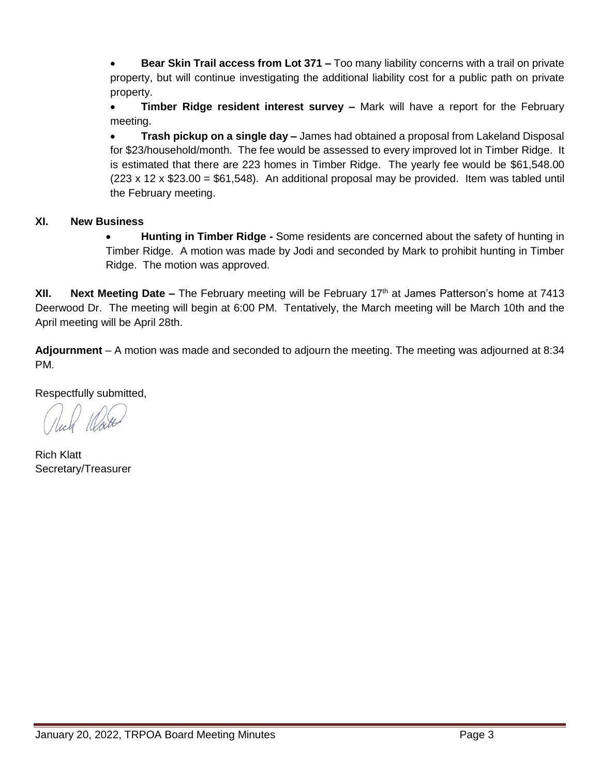**Bear Skin Trail access from Lot 371 –** Too many liability concerns with a trail on private property, but will continue investigating the additional liability cost for a public path on private property.

 **Timber Ridge resident interest survey –** Mark will have a report for the February meeting.

 **Trash pickup on a single day –** James had obtained a proposal from Lakeland Disposal for \$23/household/month. The fee would be assessed to every improved lot in Timber Ridge. It is estimated that there are 223 homes in Timber Ridge. The yearly fee would be \$61,548.00  $(223 \times 12 \times $23.00 = $61,548)$ . An additional proposal may be provided. Item was tabled until the February meeting.

#### **XI. New Business**

 **Hunting in Timber Ridge -** Some residents are concerned about the safety of hunting in Timber Ridge. A motion was made by Jodi and seconded by Mark to prohibit hunting in Timber Ridge. The motion was approved.

**XII.** Next Meeting Date – The February meeting will be February 17<sup>th</sup> at James Patterson's home at 7413 Deerwood Dr. The meeting will begin at 6:00 PM. Tentatively, the March meeting will be March 10th and the April meeting will be April 28th.

**Adjournment** – A motion was made and seconded to adjourn the meeting. The meeting was adjourned at 8:34 PM.

Respectfully submitted,

Rich Klatt Secretary/Treasurer